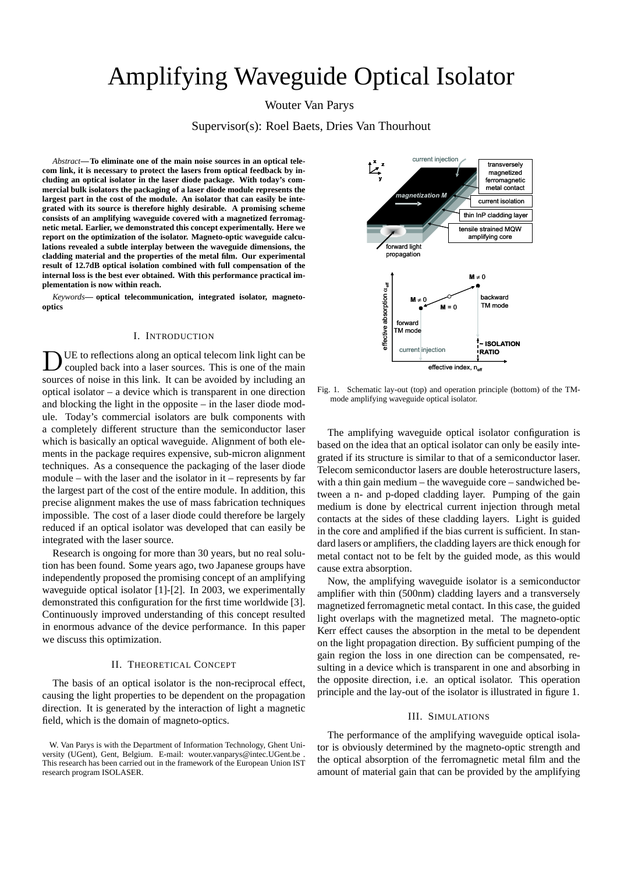# Amplifying Waveguide Optical Isolator

Wouter Van Parys

Supervisor(s): Roel Baets, Dries Van Thourhout

*Abstract***—To eliminate one of the main noise sources in an optical telecom link, it is necessary to protect the lasers from optical feedback by including an optical isolator in the laser diode package. With today's commercial bulk isolators the packaging of a laser diode module represents the largest part in the cost of the module. An isolator that can easily be integrated with its source is therefore highly desirable. A promising scheme consists of an amplifying waveguide covered with a magnetized ferromagnetic metal. Earlier, we demonstrated this concept experimentally. Here we report on the optimization of the isolator. Magneto-optic waveguide calculations revealed a subtle interplay between the waveguide dimensions, the cladding material and the properties of the metal film. Our experimental result of 12.7dB optical isolation combined with full compensation of the internal loss is the best ever obtained. With this performance practical implementation is now within reach.**

*Keywords***— optical telecommunication, integrated isolator, magnetooptics**

# I. INTRODUCTION

D UE to reflections along an optical telecom link light can be coupled back into a laser sources. This is one of the main sources of noise in this link. It can be avoided by including an optical isolator – a device which is transparent in one direction and blocking the light in the opposite – in the laser diode module. Today's commercial isolators are bulk components with a completely different structure than the semiconductor laser which is basically an optical waveguide. Alignment of both elements in the package requires expensive, sub-micron alignment techniques. As a consequence the packaging of the laser diode module – with the laser and the isolator in it – represents by far the largest part of the cost of the entire module. In addition, this precise alignment makes the use of mass fabrication techniques impossible. The cost of a laser diode could therefore be largely reduced if an optical isolator was developed that can easily be integrated with the laser source.

Research is ongoing for more than 30 years, but no real solution has been found. Some years ago, two Japanese groups have independently proposed the promising concept of an amplifying waveguide optical isolator [1]-[2]. In 2003, we experimentally demonstrated this configuration for the first time worldwide [3]. Continuously improved understanding of this concept resulted in enormous advance of the device performance. In this paper we discuss this optimization.

# II. THEORETICAL CONCEPT

The basis of an optical isolator is the non-reciprocal effect, causing the light properties to be dependent on the propagation direction. It is generated by the interaction of light a magnetic field, which is the domain of magneto-optics.



Fig. 1. Schematic lay-out (top) and operation principle (bottom) of the TMmode amplifying waveguide optical isolator.

The amplifying waveguide optical isolator configuration is based on the idea that an optical isolator can only be easily integrated if its structure is similar to that of a semiconductor laser. Telecom semiconductor lasers are double heterostructure lasers, with a thin gain medium – the waveguide core – sandwiched between a n- and p-doped cladding layer. Pumping of the gain medium is done by electrical current injection through metal contacts at the sides of these cladding layers. Light is guided in the core and amplified if the bias current is sufficient. In standard lasers or amplifiers, the cladding layers are thick enough for metal contact not to be felt by the guided mode, as this would cause extra absorption.

Now, the amplifying waveguide isolator is a semiconductor amplifier with thin (500nm) cladding layers and a transversely magnetized ferromagnetic metal contact. In this case, the guided light overlaps with the magnetized metal. The magneto-optic Kerr effect causes the absorption in the metal to be dependent on the light propagation direction. By sufficient pumping of the gain region the loss in one direction can be compensated, resulting in a device which is transparent in one and absorbing in the opposite direction, i.e. an optical isolator. This operation principle and the lay-out of the isolator is illustrated in figure 1.

### III. SIMULATIONS

The performance of the amplifying waveguide optical isolator is obviously determined by the magneto-optic strength and the optical absorption of the ferromagnetic metal film and the amount of material gain that can be provided by the amplifying

W. Van Parys is with the Department of Information Technology, Ghent University (UGent), Gent, Belgium. E-mail: wouter.vanparys@intec.UGent.be . This research has been carried out in the framework of the European Union IST research program ISOLASER.